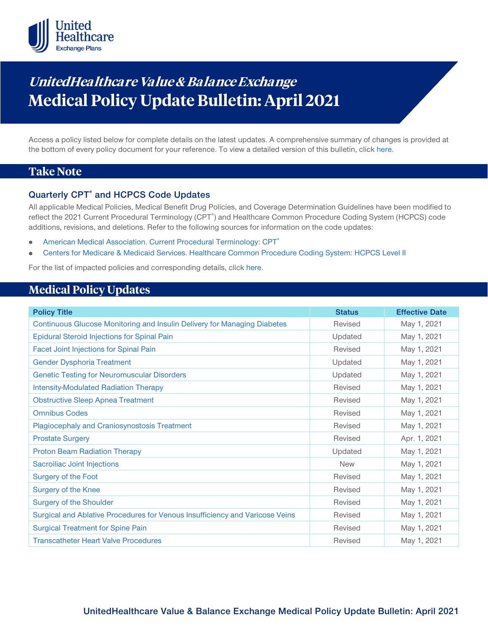

# **UnitedHealthcare Value & Balance Exchange Medical Policy Update Bulletin: April 2021**

Access a policy listed below for complete details on the latest updates. A comprehensive summary of changes is provided at the bottom of every policy document for your reference. To view a detailed version of this bulletin, clic[k here.](https://www.uhcprovider.com/content/dam/provider/docs/public/policies/mpub-archives/exchange/exchange-medical-policy-update-bulletin-april-2021-full.pdf)

### **Take Note**

### **Quarterly CPT® and HCPCS Code Updates**

All applicable Medical Policies, Medical Benefit Drug Policies, and Coverage Determination Guidelines have been modified to reflect the 2021 Current Procedural Terminology (CPT<sup>®</sup>) and Healthcare Common Procedure Coding System (HCPCS) code additions, revisions, and deletions. Refer to the following sources for information on the code updates:

- [American Medical Association. Current Procedural Terminology: CPT®](https://www.ama-assn.org/practice-management/cpt)
- [Centers for Medicare & Medicaid Services. Healthcare Common Procedure Coding System: HCPCS Level II](https://www.cms.gov/Medicare/Coding/MedHCPCSGenInfo/index.html)

For the list of impacted policies and corresponding details, click [here.](https://www.uhcprovider.com/content/dam/provider/docs/public/policies/mpub-archives/exchange/exchange-medical-policy-update-bulletin-april-2021-full.pdf)

### **Medical Policy Updates**

| <b>Policy Title</b>                                                          | <b>Status</b> | <b>Effective Date</b> |
|------------------------------------------------------------------------------|---------------|-----------------------|
| Continuous Glucose Monitoring and Insulin Delivery for Managing Diabetes     | Revised       | May 1, 2021           |
| <b>Epidural Steroid Injections for Spinal Pain</b>                           | Updated       | May 1, 2021           |
| <b>Facet Joint Injections for Spinal Pain</b>                                | Revised       | May 1, 2021           |
| <b>Gender Dysphoria Treatment</b>                                            | Updated       | May 1, 2021           |
| <b>Genetic Testing for Neuromuscular Disorders</b>                           | Updated       | May 1, 2021           |
| <b>Intensity-Modulated Radiation Therapy</b>                                 | Revised       | May 1, 2021           |
| <b>Obstructive Sleep Apnea Treatment</b>                                     | Revised       | May 1, 2021           |
| <b>Omnibus Codes</b>                                                         | Revised       | May 1, 2021           |
| <b>Plagiocephaly and Craniosynostosis Treatment</b>                          | Revised       | May 1, 2021           |
| <b>Prostate Surgery</b>                                                      | Revised       | Apr. 1, 2021          |
| <b>Proton Beam Radiation Therapy</b>                                         | Updated       | May 1, 2021           |
| Sacroiliac Joint Injections                                                  | <b>New</b>    | May 1, 2021           |
| Surgery of the Foot                                                          | Revised       | May 1, 2021           |
| <b>Surgery of the Knee</b>                                                   | Revised       | May 1, 2021           |
| <b>Surgery of the Shoulder</b>                                               | Revised       | May 1, 2021           |
| Surgical and Ablative Procedures for Venous Insufficiency and Varicose Veins | Revised       | May 1, 2021           |
| <b>Surgical Treatment for Spine Pain</b>                                     | Revised       | May 1, 2021           |
| <b>Transcatheter Heart Valve Procedures</b>                                  | Revised       | May 1, 2021           |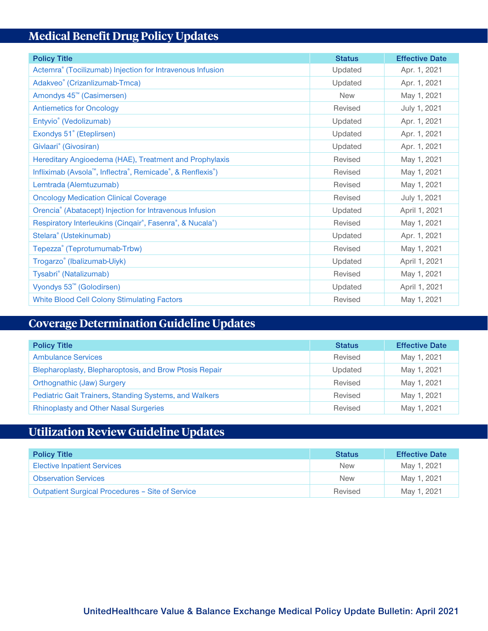## **Medical Benefit Drug Policy Updates**

| <b>Policy Title</b>                                                    | <b>Status</b> | <b>Effective Date</b> |
|------------------------------------------------------------------------|---------------|-----------------------|
| Actemra <sup>®</sup> (Tocilizumab) Injection for Intravenous Infusion  | Updated       | Apr. 1, 2021          |
| Adakveo <sup>®</sup> (Crizanlizumab-Tmca)                              | Updated       | Apr. 1, 2021          |
| Amondys 45 <sup>™</sup> (Casimersen)                                   | <b>New</b>    | May 1, 2021           |
| <b>Antiemetics for Oncology</b>                                        | Revised       | July 1, 2021          |
| Entyvio <sup>®</sup> (Vedolizumab)                                     | Updated       | Apr. 1, 2021          |
| Exondys 51° (Eteplirsen)                                               | Updated       | Apr. 1, 2021          |
| Givlaari <sup>®</sup> (Givosiran)                                      | Updated       | Apr. 1, 2021          |
| Hereditary Angioedema (HAE), Treatment and Prophylaxis                 | Revised       | May 1, 2021           |
| Infliximab (Avsola <sup>™</sup> , Inflectra®, Remicade®, & Renflexis®) | Revised       | May 1, 2021           |
| Lemtrada (Alemtuzumab)                                                 | Revised       | May 1, 2021           |
| <b>Oncology Medication Clinical Coverage</b>                           | Revised       | July 1, 2021          |
| Orencia® (Abatacept) Injection for Intravenous Infusion                | Updated       | April 1, 2021         |
| Respiratory Interleukins (Cinqair®, Fasenra®, & Nucala®)               | Revised       | May 1, 2021           |
| Stelara <sup>®</sup> (Ustekinumab)                                     | Updated       | Apr. 1, 2021          |
| Tepezza® (Teprotumumab-Trbw)                                           | Revised       | May 1, 2021           |
| Trogarzo® (Ibalizumab-Uiyk)                                            | Updated       | April 1, 2021         |
| Tysabri <sup>®</sup> (Natalizumab)                                     | Revised       | May 1, 2021           |
| Vyondys 53 <sup>™</sup> (Golodirsen)                                   | Updated       | April 1, 2021         |
| <b>White Blood Cell Colony Stimulating Factors</b>                     | Revised       | May 1, 2021           |

## **Coverage Determination Guideline Updates**

| <b>Policy Title</b>                                    | <b>Status</b> | <b>Effective Date</b> |
|--------------------------------------------------------|---------------|-----------------------|
| <b>Ambulance Services</b>                              | Revised       | May 1, 2021           |
| Blepharoplasty, Blepharoptosis, and Brow Ptosis Repair | Updated       | May 1, 2021           |
| <b>Orthognathic (Jaw) Surgery</b>                      | Revised       | May 1, 2021           |
| Pediatric Gait Trainers, Standing Systems, and Walkers | Revised       | May 1, 2021           |
| <b>Rhinoplasty and Other Nasal Surgeries</b>           | Revised       | May 1, 2021           |

## **Utilization Review Guideline Updates**

| <b>Policy Title</b>                              | <b>Status</b> | <b>Effective Date</b> |
|--------------------------------------------------|---------------|-----------------------|
| <b>Elective Inpatient Services</b>               | <b>New</b>    | May 1, 2021           |
| <b>Observation Services</b>                      | <b>New</b>    | May 1, 2021           |
| Outpatient Surgical Procedures - Site of Service | Revised       | May 1, 2021           |